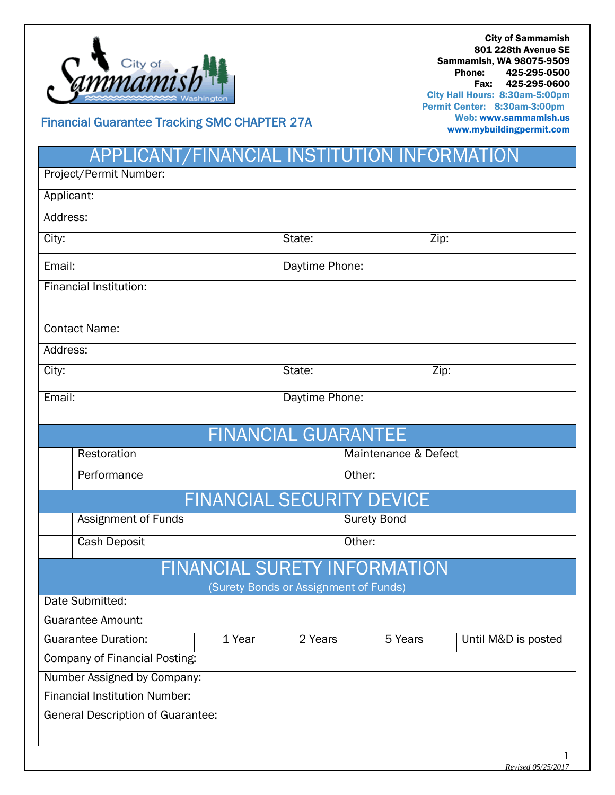

City of Sammamish 801 228th Avenue SE Sammamish, WA 98075-9509 Phone: 425-295-0500 Fax: 425-295-0600 City Hall Hours: 8:30am-5:00pm Permit Center: 8:30am-3:00pm Web[: www.sammamish.us](http://www.sammamish.us/) [www.mybuildingpermit.com](http://www.mybuildingpermit.com/)

Financial Guarantee Tracking SMC CHAPTER 27A

## APPLICANT/FINANCIAL INSTITUTION INFORMATION

| Project/Permit Number:                   |                            |                |                |                                |  |  |  |
|------------------------------------------|----------------------------|----------------|----------------|--------------------------------|--|--|--|
| Applicant:                               |                            |                |                |                                |  |  |  |
| Address:                                 |                            |                |                |                                |  |  |  |
| City:                                    |                            |                | Zip:<br>State: |                                |  |  |  |
| Email:                                   |                            | Daytime Phone: |                |                                |  |  |  |
| Financial Institution:                   |                            |                |                |                                |  |  |  |
|                                          |                            |                |                |                                |  |  |  |
| <b>Contact Name:</b>                     |                            |                |                |                                |  |  |  |
| Address:                                 |                            |                |                |                                |  |  |  |
| City:                                    |                            |                |                | Zip:                           |  |  |  |
| Email:                                   |                            | Daytime Phone: |                |                                |  |  |  |
|                                          |                            |                |                |                                |  |  |  |
| <b>FINANCIAL GUARANTEE</b>               |                            |                |                |                                |  |  |  |
|                                          | Restoration                |                |                | Maintenance & Defect           |  |  |  |
|                                          | Performance                |                | Other:         |                                |  |  |  |
| <b>FINANCIAL SECURITY DEVICE</b>         |                            |                |                |                                |  |  |  |
|                                          | <b>Assignment of Funds</b> |                |                | <b>Surety Bond</b>             |  |  |  |
|                                          | Cash Deposit               |                |                | Other:                         |  |  |  |
| FINANCIAL SURETY INFORMATION             |                            |                |                |                                |  |  |  |
| (Surety Bonds or Assignment of Funds)    |                            |                |                |                                |  |  |  |
| Date Submitted:                          |                            |                |                |                                |  |  |  |
| Guarantee Amount:                        |                            |                |                |                                |  |  |  |
| <b>Guarantee Duration:</b><br>1 Year     |                            |                | 2 Years        | 5 Years<br>Until M&D is posted |  |  |  |
| <b>Company of Financial Posting:</b>     |                            |                |                |                                |  |  |  |
| Number Assigned by Company:              |                            |                |                |                                |  |  |  |
| <b>Financial Institution Number:</b>     |                            |                |                |                                |  |  |  |
| <b>General Description of Guarantee:</b> |                            |                |                |                                |  |  |  |
|                                          |                            |                |                |                                |  |  |  |
|                                          |                            |                |                | $\mathbf 1$                    |  |  |  |